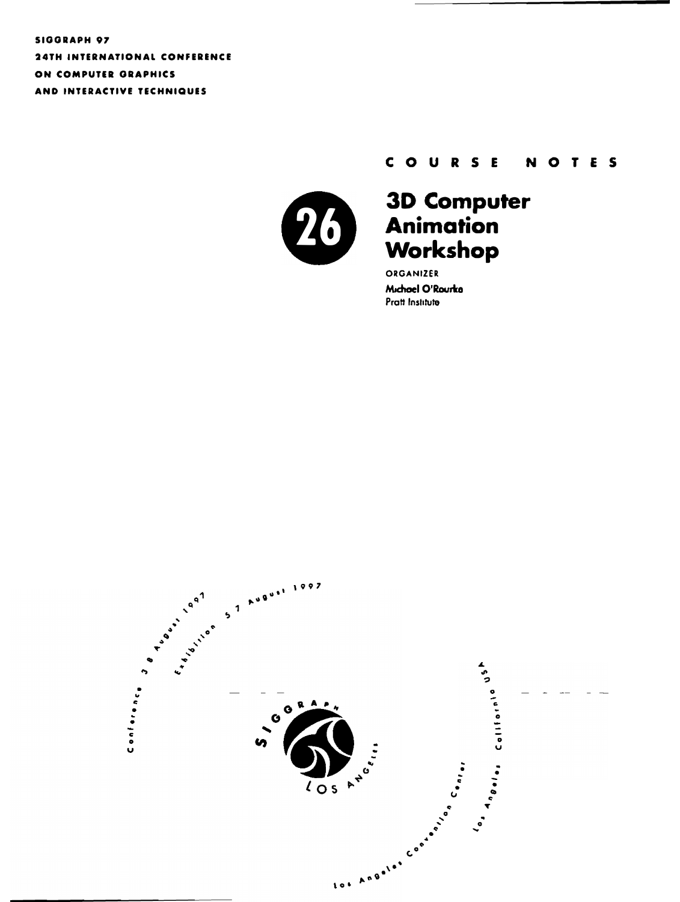SIGGRAPH 97 **24TH INTERNATIONAL CONFERENCE** ON COMPUTER GRAPHICS AND INTERACTIVE TECHNIQUES

#### COURSE NOTES



# 3D Computer<br>Animation<br>Workshop

ORGANIZER Michael O'Rourka Pratt Institute

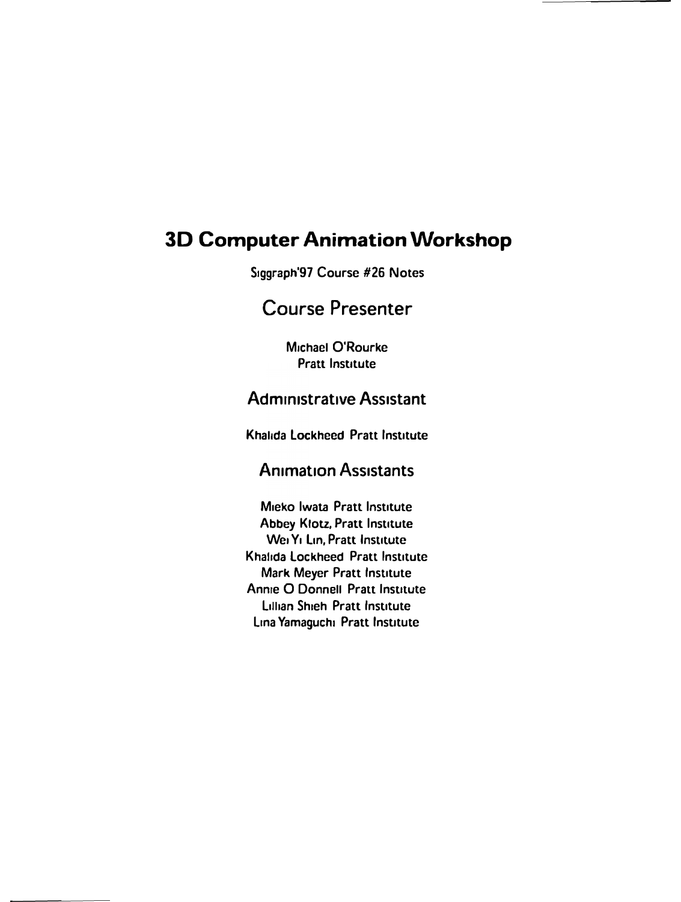## **3D Computer Animation Workshop**

Siggraph'97 Course #26 Notes

## **Course Presenter**

Michael O'Rourke **Pratt Institute** 

## **Administrative Assistant**

Khalida Lockheed Pratt Institute

## **Animation Assistants**

Mieko Iwata Pratt Institute **Abbey Klotz, Pratt Institute** Wei Yi Lin, Pratt Institute Khalida Lockheed Pratt Institute Mark Meyer Pratt Institute Annie O Donnell Pratt Institute **Lillian Shieh Pratt Institute** Lina Yamaguchi Pratt Institute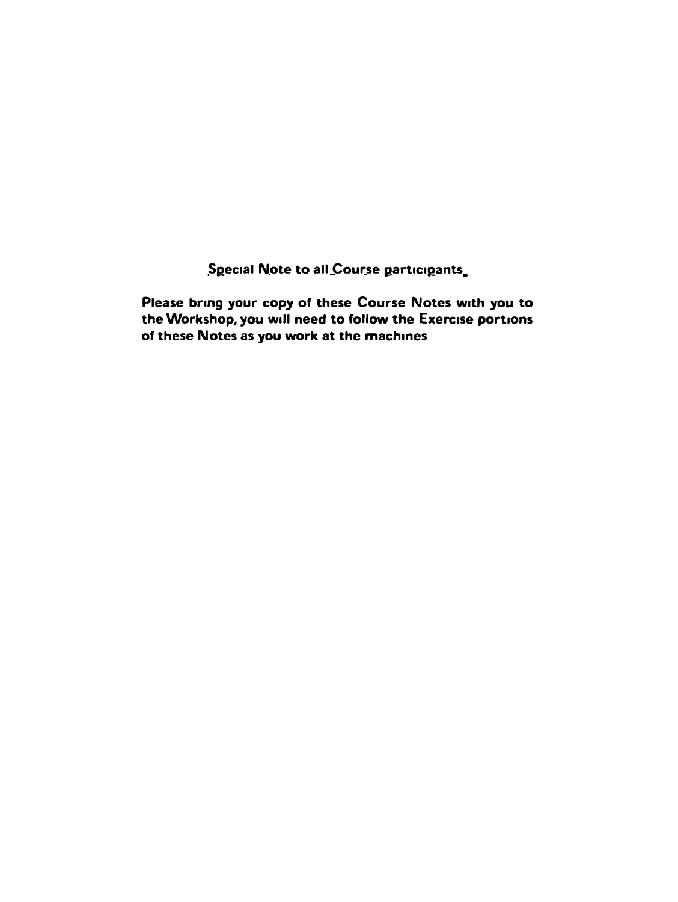**Special Note to all Course participants** 

**Please bring your copy of these Course Notes with you to the Workshop, you will need to follow the Exercise portions of these Notes as you work at the machines**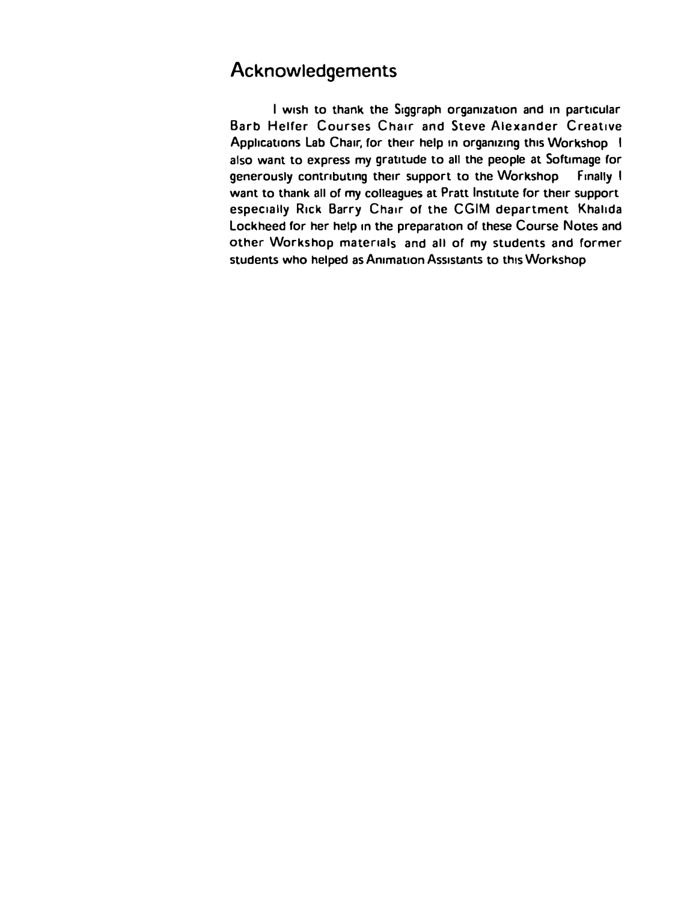## Acknowledgements

**I wish to thank the S1ggraph organization and m particular Barb Helfer Courses Chair and Steve Alexander Creative**  Applications Lab Chair, for their help in organizing this Workshop 1 also want to express my gratitude to all the people at Softimage for **generously contributing their support to the Workshop Finally I want to thank all of my colleagues at Pratt Institute for their support especially Rick Barry Chair of the CGIM department Khahda**  Lockheed for her help in the preparation of these Course Notes and **other Workshop materials and all of my students and former**  students who helped as Animation Assistants to this Workshop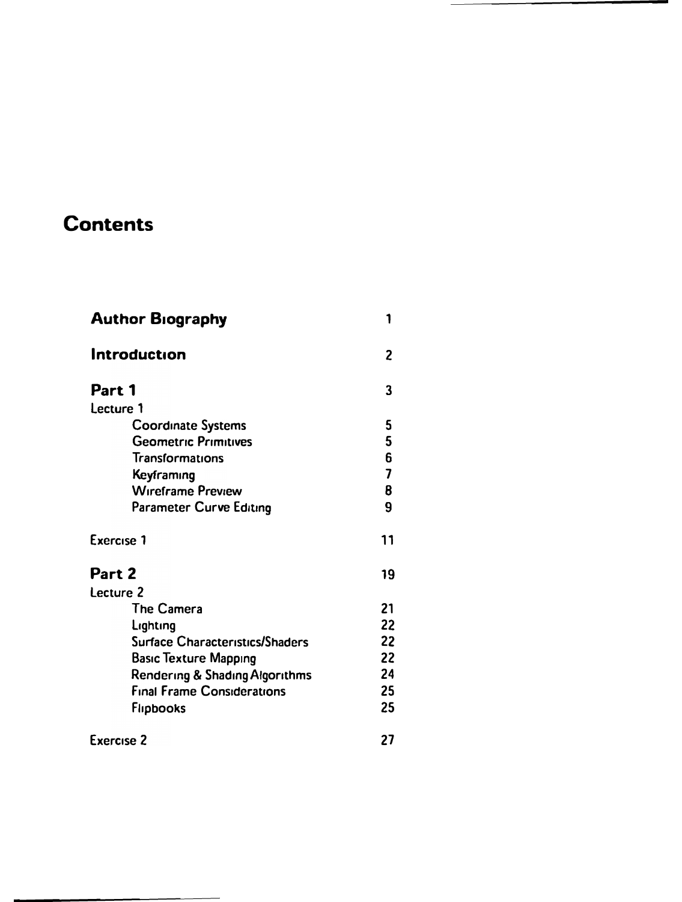# **Contents**

| <b>Author Biography</b>           | 1                       |
|-----------------------------------|-------------------------|
| Introduction                      | 2                       |
| Part 1                            | 3                       |
| Lecture 1                         |                         |
| <b>Coordinate Systems</b>         | 5                       |
| <b>Geometric Primitives</b>       | 5                       |
| Transformations                   | 6                       |
| Keyframing                        | $\overline{\mathbf{z}}$ |
| <b>Wireframe Preview</b>          | 8                       |
| Parameter Curve Editing           | 9                       |
| Exercise 1                        | 11                      |
| Part 2                            | 19                      |
| Lecture 2                         |                         |
| <b>The Camera</b>                 | 21                      |
| Lighting                          | 22                      |
| Surface Characteristics/Shaders   | 22                      |
| <b>Basic Texture Mapping</b>      | 22                      |
| Rendering & Shading Algorithms    | 24                      |
| <b>Final Frame Considerations</b> | 25                      |
| <b>Flipbooks</b>                  | 25                      |
| <b>Exercise 2</b>                 | 27                      |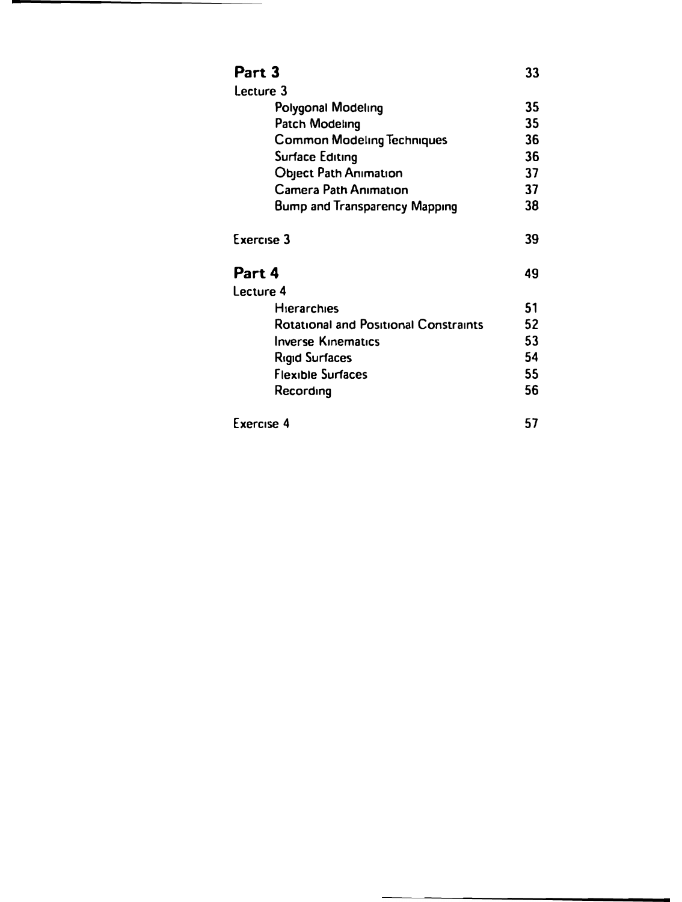| Part 3                                       | 33 |
|----------------------------------------------|----|
| Lecture 3                                    |    |
| Polygonal Modeling                           | 35 |
| Patch Modeling                               | 35 |
| <b>Common Modeling Techniques</b>            | 36 |
| Surface Editing                              | 36 |
| <b>Object Path Animation</b>                 | 37 |
| <b>Camera Path Animation</b>                 | 37 |
| <b>Bump and Transparency Mapping</b>         | 38 |
| Exercise 3                                   | 39 |
| Part 4                                       | 49 |
| Lecture 4                                    |    |
| <b>Hierarchies</b>                           | 51 |
| <b>Rotational and Positional Constraints</b> | 52 |
| <b>Inverse Kinematics</b>                    | 53 |
| <b>Rigid Surfaces</b>                        | 54 |
| <b>Flexible Surfaces</b>                     | 55 |
| Recording                                    | 56 |
| Exercise 4                                   | 57 |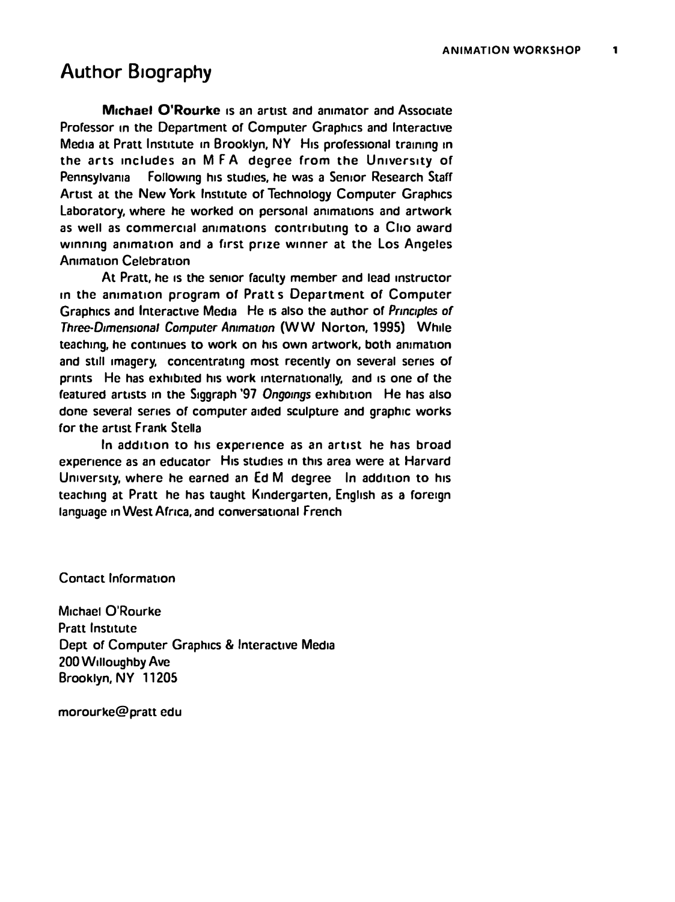## Author Biography

**Michael O'Rourke Is an artist and animator and Associate**  Professor in the Department of Computer Graphics and Interactive **Media at Pratt Institute m Brooklyn,** NY **His professional training In**  the arts includes an MFA degree from the University of **Pennsylvania Following his studies, he was a Senior Research Staff Artist at the New York Institute or Technology Computer Graphics**  Laboratory, where he worked on personal animations and artwork **as well as commercial animations contnbutmg to a Cho award**  winning animation and a first prize winner at the Los Angeles **Animation Celebration** 

**At Pratt, he Is the semor faculty member and lead instructor m the animation program or Pratt s Department of Computer Graphics and Interactive Media He Is also the author or** *Prmc,ples* **of**  *Three-D,mens,onal Computer Animation* **(WW Norton, 1995) While teaching, he continues to work on his own artwork, both animation and still imagery, concentrating most recently on several series of**  prints He has exhibited his work internationally, and is one of the featured artists in the Siggraph '97 Ongoings exhibition He has also **done several series of computer aided sculpture and graphrc works for the artist Frank Stella** 

**In add1tIon to his experience as an artist he has broad experience as an educator His studies m this area were at Harvard**  University, where he earned an Ed M degree In addition to his **teaching at Pratt he has taught Kindergarten, English as a foreign**  language in West Africa, and conversational French

**Contact Information** 

**Michael O'Rourke Pratt Institute Dept of Computer Graphics & Interactive Media 200 Willoughby Ave Brooklyn, NY 11205** 

**morourke@pratt edu**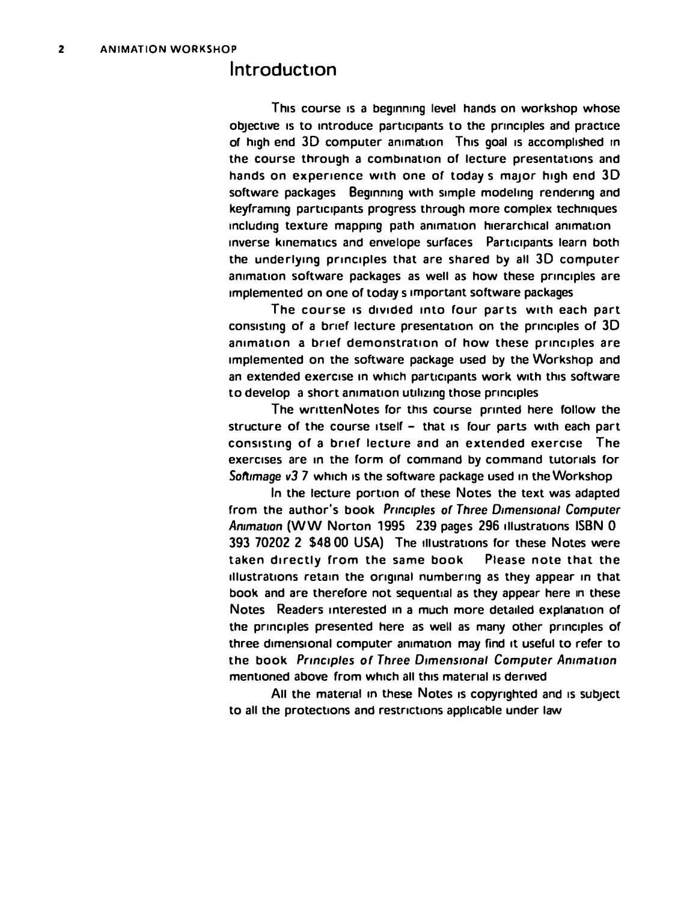#### **Introduction**

**This course 1s a beginning level hands on workshop whose**  objective is to introduce participants to the principles and practice of high end 3D computer animation This goal is accomplished in **the course through a combination of lecture presentations and**  hands on experience with one of todays major high end 3D software packages Beginning with simple modeling rendering and keyframing participants progress through more complex techniques including texture mapping path animation hierarchical animation inverse kinematics and envelope surfaces Participants learn both **the underlying principles that are shared by all** 30 **computer animation software packages as well as how these principles are implemented on one of todays important software packages** 

The course is divided into four parts with each part consisting of a brief lecture presentation on the principles of 3D **animation a brief demonstration or how these principles are implemented on the software package used by the Workshop and**  an extended exercise in which participants work with this software to develop a short animation utilizing those principles

The writtenNotes for this course printed here follow the **structure of the course itself - that 1s four parts with each part cons1stmg of a brief lecture and an extended exercise The exercises are m the form of command by command tutorials for**  *Soft,mage v3* 7 **which 1s the software package used in the Workshop** 

**In the lecture portion or these Notes the text was adapted from the author's book** *Prmc,ples of Three D1mens1onal Computer Ammat,on* (WW **Norton** 1995 239 **pages** 296 **1llustrat1ons ISBN** 0 **393 70202 2 \$48 00 USA) The tllustrauons for these Notes were**  taken directly from the same book Please note that the **1llustrat1ons retain the ongmal numbering as they appear in that book and are therefore not sequential as they appear here in these Notes Readers interested m a much more detailed explanation or the principles presented here as well as many other principles of three dimensional computer animation may find 1t useful to refer to the book** *Prmc,ples of Three D,mens,onal Computer Animation*  **mentioned above from which all this material 1s derived** 

**All the material m these Notes 1s copyrighted and Is subJect to all the protections and restrictions apphcable under law**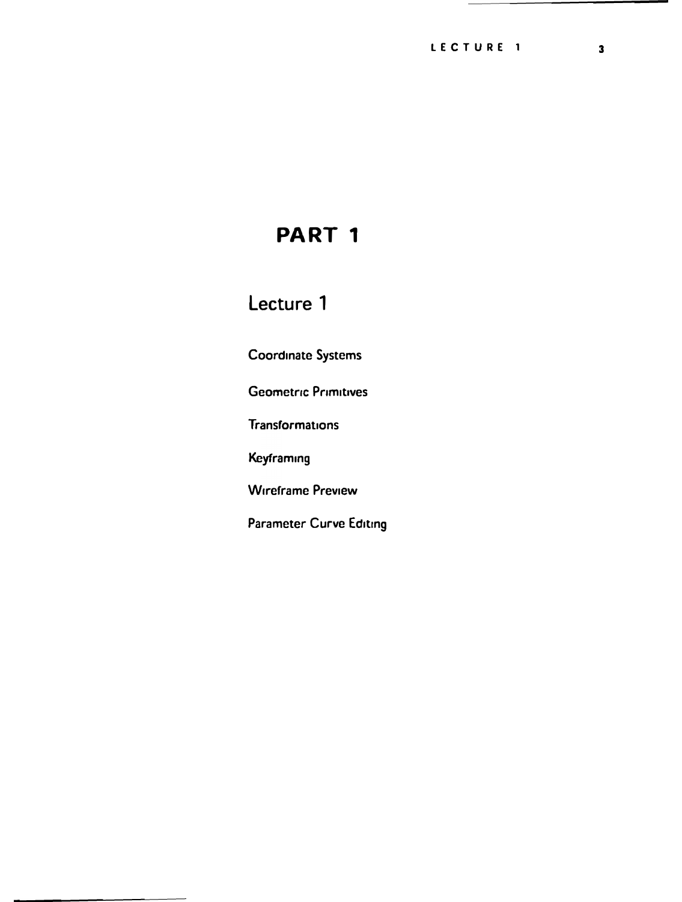## **Lecture 1**

**Coordinate Systems** 

**Geometric Primitives** 

**Transformations** 

**Keyframmg** 

**Wireframe Preview** 

Parameter Curve Editing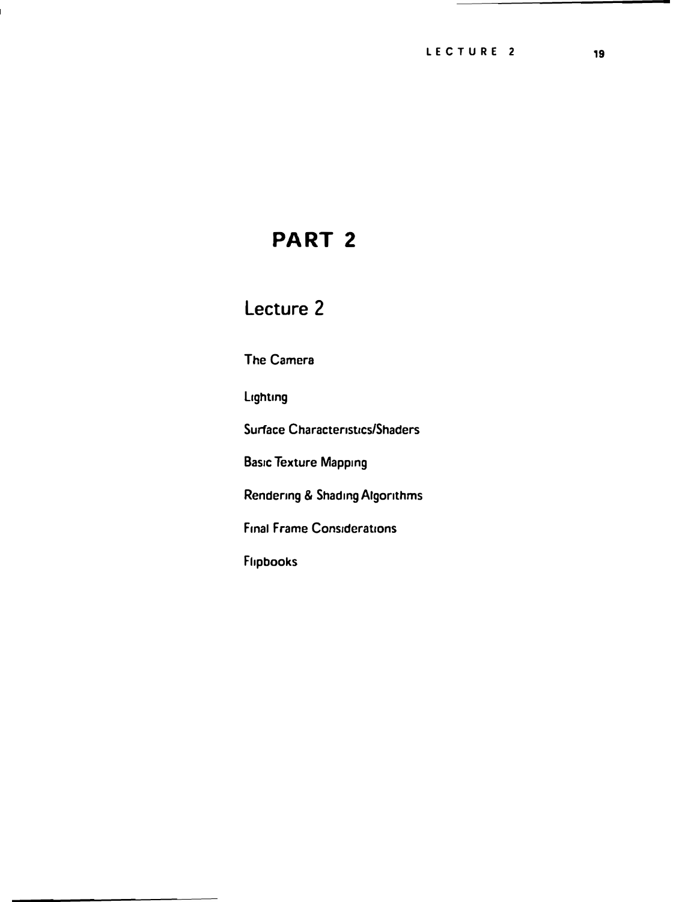## **Lecture 2**

**The Camera** 

**Lighting** 

**Surface Characteristics/Shaders** 

**Basic Texture Mapping** 

**Rendering & Shading Algorithms** 

**Final Frame Considerations** 

**Fhpbooks**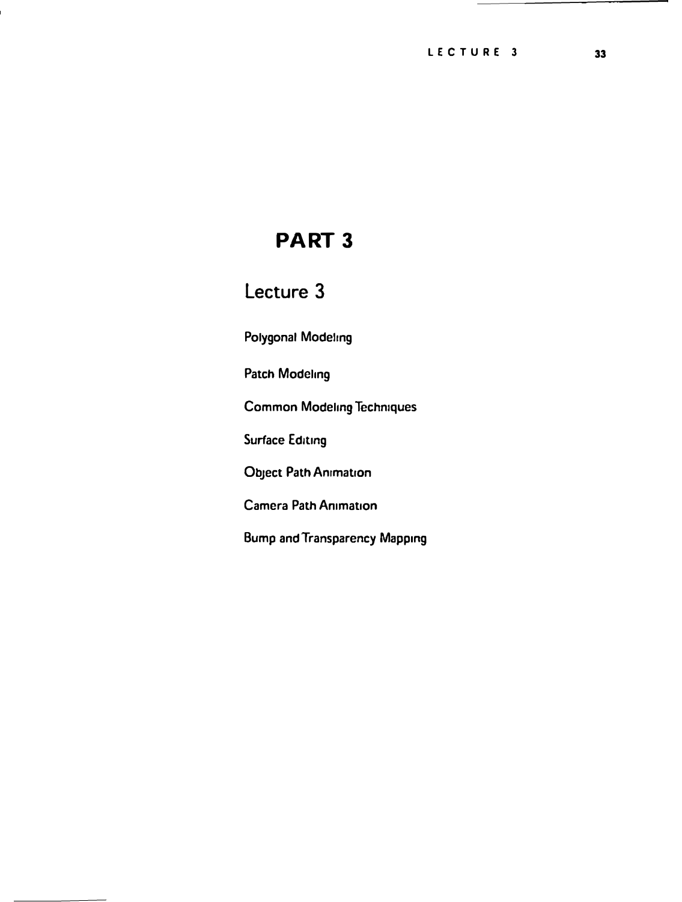## Lecture 3

**Polygonal Modeling** 

**Patch Modeling** 

**Common Modelmg Technrques** 

**Surface Editing** 

**Object Path Animation** 

**Camera Path Anrmat,on** 

**Bump and Transparency Mapping**